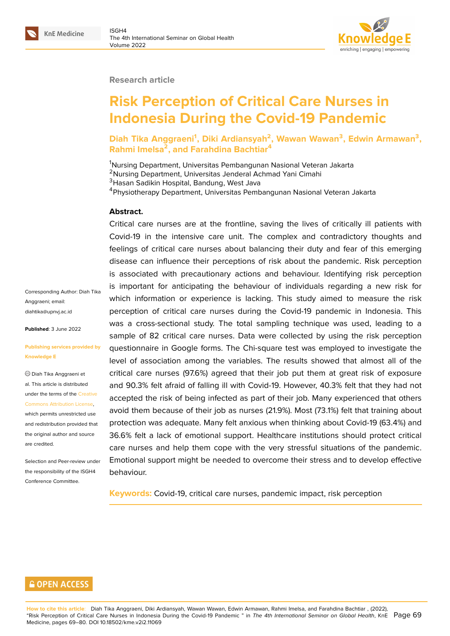#### **Research article**

# **Risk Perception of Critical Care Nurses in Indonesia During the Covid-19 Pandemic**

**Diah Tika Anggraeni<sup>1</sup> , Diki Ardiansyah<sup>2</sup> , Wawan Wawan<sup>3</sup> , Edwin Armawan<sup>3</sup> , Rahmi Imelsa<sup>2</sup> , and Farahdina Bachtiar<sup>4</sup>**

Nursing Department, Universitas Pembangunan Nasional Veteran Jakarta Nursing Department, Universitas Jenderal Achmad Yani Cimahi <sup>3</sup> Hasan Sadikin Hospital, Bandung, West Java Physiotherapy Department, Universitas Pembangunan Nasional Veteran Jakarta

#### **Abstract.**

Critical care nurses are at the frontline, saving the lives of critically ill patients with Covid-19 in the intensive care unit. The complex and contradictory thoughts and feelings of critical care nurses about balancing their duty and fear of this emerging disease can influence their perceptions of risk about the pandemic. Risk perception is associated with precautionary actions and behaviour. Identifying risk perception is important for anticipating the behaviour of individuals regarding a new risk for which information or experience is lacking. This study aimed to measure the risk perception of critical care nurses during the Covid-19 pandemic in Indonesia. This was a cross-sectional study. The total sampling technique was used, leading to a sample of 82 critical care nurses. Data were collected by using the risk perception questionnaire in Google forms. The Chi-square test was employed to investigate the level of association among the variables. The results showed that almost all of the critical care nurses (97.6%) agreed that their job put them at great risk of exposure and 90.3% felt afraid of falling ill with Covid-19. However, 40.3% felt that they had not accepted the risk of being infected as part of their job. Many experienced that others avoid them because of their job as nurses (21.9%). Most (73.1%) felt that training about protection was adequate. Many felt anxious when thinking about Covid-19 (63.4%) and 36.6% felt a lack of emotional support. Healthcare institutions should protect critical care nurses and help them cope with the very stressful situations of the pandemic. Emotional support might be needed to overcome their stress and to develop effective behaviour.

**Keywords:** Covid-19, critical care nurses, pandemic impact, risk perception

Corresponding Author: Diah Tika Anggraeni; email: diahtika@upnvj.ac.id

**Published**: 3 June 2022

#### **[Publishing services](mailto:diahtika@upnvj.ac.id ) provided by Knowledge E**

Diah Tika Anggraeni et al. This article is distributed under the terms of the Creative Commons Attribution License,

which permits unrestricted use and redistribution provided that the original author and [source](https://creativecommons.org/licenses/by/4.0/) [are credited.](https://creativecommons.org/licenses/by/4.0/)

Selection and Peer-review under the responsibility of the ISGH4 Conference Committee.

## **GOPEN ACCESS**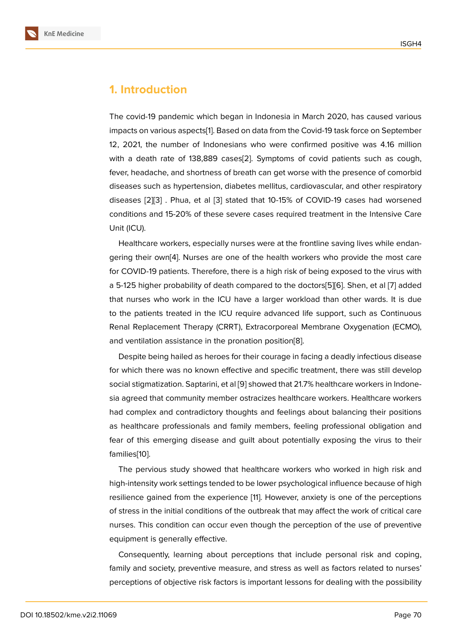# **1. Introduction**

The covid-19 pandemic which began in Indonesia in March 2020, has caused various impacts on various aspects[1]. Based on data from the Covid-19 task force on September 12, 2021, the number of Indonesians who were confirmed positive was 4.16 million with a death rate of 138,889 cases[2]. Symptoms of covid patients such as cough, fever, headache, and short[ne](#page-9-0)ss of breath can get worse with the presence of comorbid diseases such as hypertension, diabetes mellitus, cardiovascular, and other respiratory diseases [2][3] . Phua, et al [3] state[d](#page-10-0) that 10-15% of COVID-19 cases had worsened conditions and 15-20% of these severe cases required treatment in the Intensive Care Unit (ICU).

Healthc[ar](#page-10-0)[e w](#page-10-1)orkers, espec[ia](#page-10-1)lly nurses were at the frontline saving lives while endangering their own[4]. Nurses are one of the health workers who provide the most care for COVID-19 patients. Therefore, there is a high risk of being exposed to the virus with a 5-125 higher probability of death compared to the doctors[5][6]. Shen, et al [7] added that nurses who [w](#page-10-2)ork in the ICU have a larger workload than other wards. It is due to the patients treated in the ICU require advanced life support, such as Continuous Renal Replacement Therapy (CRRT), Extracorporeal Membr[an](#page-10-3)[e](#page-10-4) Oxygenation [\(](#page-10-5)ECMO), and ventilation assistance in the pronation position[8].

Despite being hailed as heroes for their courage in facing a deadly infectious disease for which there was no known effective and specific treatment, there was still develop social stigmatization. Saptarini, et al [9] showed that [21](#page-10-6).7% healthcare workers in Indonesia agreed that community member ostracizes healthcare workers. Healthcare workers had complex and contradictory thoughts and feelings about balancing their positions as healthcare professionals and fa[mi](#page-10-7)ly members, feeling professional obligation and fear of this emerging disease and guilt about potentially exposing the virus to their families[10].

The pervious study showed that healthcare workers who worked in high risk and high-intensity work settings tended to be lower psychological influence because of high resilien[ce](#page-10-8) gained from the experience [11]. However, anxiety is one of the perceptions of stress in the initial conditions of the outbreak that may affect the work of critical care nurses. This condition can occur even though the perception of the use of preventive equipment is generally effective.

Consequently, learning about perceptions that include personal risk and coping, family and society, preventive measure, and stress as well as factors related to nurses' perceptions of objective risk factors is important lessons for dealing with the possibility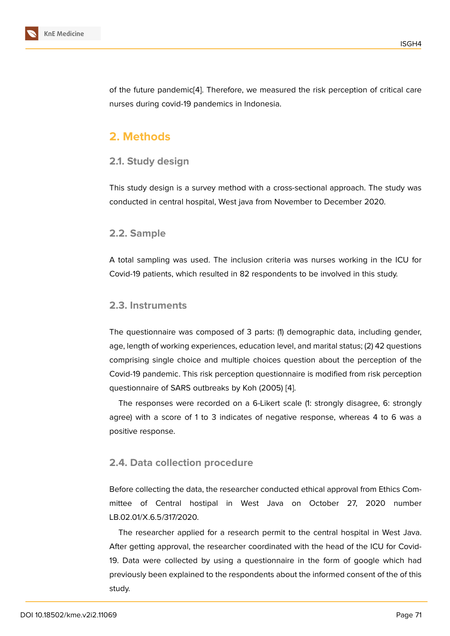of the future pandemic[4]. Therefore, we measured the risk perception of critical care nurses during covid-19 pandemics in Indonesia.

# **2. Methods**

### **2.1. Study design**

This study design is a survey method with a cross-sectional approach. The study was conducted in central hospital, West java from November to December 2020.

#### **2.2. Sample**

A total sampling was used. The inclusion criteria was nurses working in the ICU for Covid-19 patients, which resulted in 82 respondents to be involved in this study.

#### **2.3. Instruments**

The questionnaire was composed of 3 parts: (1) demographic data, including gender, age, length of working experiences, education level, and marital status; (2) 42 questions comprising single choice and multiple choices question about the perception of the Covid-19 pandemic. This risk perception questionnaire is modified from risk perception questionnaire of SARS outbreaks by Koh (2005) [4].

The responses were recorded on a 6-Likert scale (1: strongly disagree, 6: strongly agree) with a score of 1 to 3 indicates of negative response, whereas 4 to 6 was a positive response.

## **2.4. Data collection procedure**

Before collecting the data, the researcher conducted ethical approval from Ethics Committee of Central hostipal in West Java on October 27, 2020 number LB.02.01/X.6.5/317/2020.

The researcher applied for a research permit to the central hospital in West Java. After getting approval, the researcher coordinated with the head of the ICU for Covid-19. Data were collected by using a questionnaire in the form of google which had previously been explained to the respondents about the informed consent of the of this study.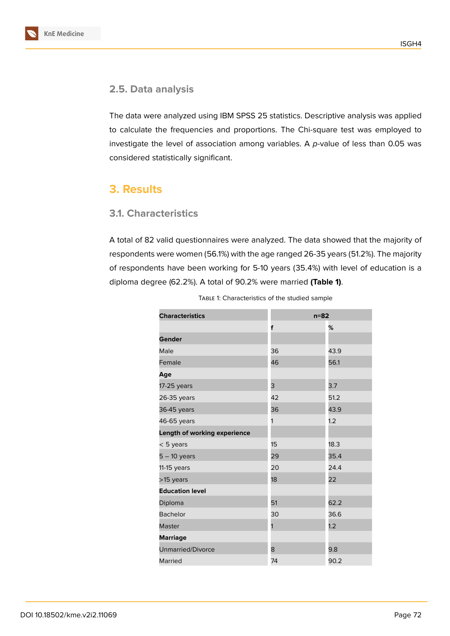



The data were analyzed using IBM SPSS 25 statistics. Descriptive analysis was applied to calculate the frequencies and proportions. The Chi-square test was employed to investigate the level of association among variables. A *p-*value of less than 0.05 was considered statistically significant.

# **3. Results**

## **3.1. Characteristics**

A total of 82 valid questionnaires were analyzed. The data showed that the majority of respondents were women (56.1%) with the age ranged 26-35 years (51.2%). The majority of respondents have been working for 5-10 years (35.4%) with level of education is a diploma degree (62.2%). A total of 90.2% were married **(Table 1)**.

| <b>Characteristics</b>       | $n=82$ |      |  |
|------------------------------|--------|------|--|
|                              | f      | %    |  |
| Gender                       |        |      |  |
| Male                         | 36     | 43.9 |  |
| Female                       | 46     | 56.1 |  |
| Age                          |        |      |  |
| 17-25 years                  | 3      | 3.7  |  |
| 26-35 years                  | 42     | 51.2 |  |
| 36-45 years                  | 36     | 43.9 |  |
| 46-65 years                  | 1      | 1.2  |  |
| Length of working experience |        |      |  |
| $< 5$ years                  | 15     | 18.3 |  |
| $5 - 10$ years               | 29     | 35.4 |  |
| $11-15$ years                | 20     | 24.4 |  |
| >15 years                    | 18     | 22   |  |
| <b>Education level</b>       |        |      |  |
| Diploma                      | 51     | 62.2 |  |
| <b>Bachelor</b>              | 30     | 36.6 |  |
| <b>Master</b>                | 1      | 1.2  |  |
| <b>Marriage</b>              |        |      |  |
| <b>Unmarried/Divorce</b>     | 8      | 9.8  |  |
| Married                      | 74     | 90.2 |  |

Table 1: Characteristics of the studied sample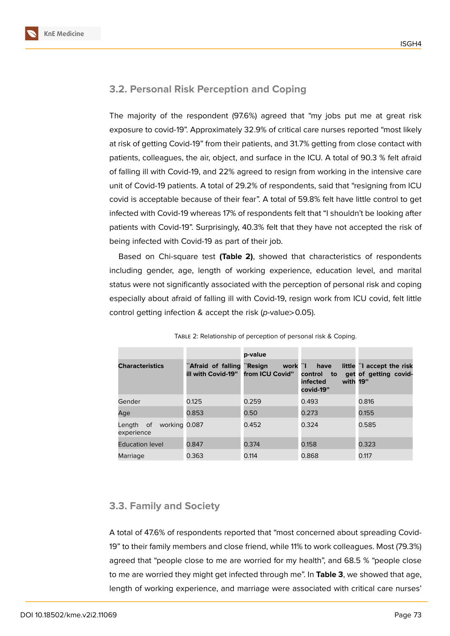

# **3.2. Personal Risk Perception and Coping**

The majority of the respondent (97.6%) agreed that "my jobs put me at great risk exposure to covid-19". Approximately 32.9% of critical care nurses reported "most likely at risk of getting Covid-19" from their patients, and 31.7% getting from close contact with patients, colleagues, the air, object, and surface in the ICU. A total of 90.3 % felt afraid of falling ill with Covid-19, and 22% agreed to resign from working in the intensive care unit of Covid-19 patients. A total of 29.2% of respondents, said that "resigning from ICU covid is acceptable because of their fear". A total of 59.8% felt have little control to get infected with Covid-19 whereas 17% of respondents felt that "I shouldn't be looking after patients with Covid-19". Surprisingly, 40.3% felt that they have not accepted the risk of being infected with Covid-19 as part of their job.

Based on Chi-square test **(Table 2)**, showed that characteristics of respondents including gender, age, length of working experience, education level, and marital status were not significantly associated with the perception of personal risk and coping especially about afraid of falling ill with Covid-19, resign work from ICU covid, felt little control getting infection & accept the risk (*p*-value>0.05).

|                                          |                                          | p-value                                 |                                                            |                                                    |
|------------------------------------------|------------------------------------------|-----------------------------------------|------------------------------------------------------------|----------------------------------------------------|
| <b>Characteristics</b>                   | `Afraid of falling<br>ill with Covid-19" | ``Resign<br>work ``I<br>from ICU Covid" | have<br>control<br>to<br>with 19"<br>infected<br>covid-19" | little "I accept the risk<br>get of getting covid- |
| Gender                                   | 0.125                                    | 0.259                                   | 0.493                                                      | 0.816                                              |
| Age                                      | 0.853                                    | 0.50                                    | 0.273                                                      | 0.155                                              |
| working 0.087<br>Length of<br>experience |                                          | 0.452                                   | 0.324                                                      | 0.585                                              |
| <b>Education level</b>                   | 0.847                                    | 0.374                                   | 0.158                                                      | 0.323                                              |
| Marriage                                 | 0.363                                    | 0.114                                   | 0.868                                                      | 0.117                                              |

Table 2: Relationship of perception of personal risk & Coping.

## **3.3. Family and Society**

A total of 47.6% of respondents reported that "most concerned about spreading Covid-19" to their family members and close friend, while 11% to work colleagues. Most (79.3%) agreed that "people close to me are worried for my health", and 68.5 % "people close to me are worried they might get infected through me". In **Table 3**, we showed that age, length of working experience, and marriage were associated with critical care nurses'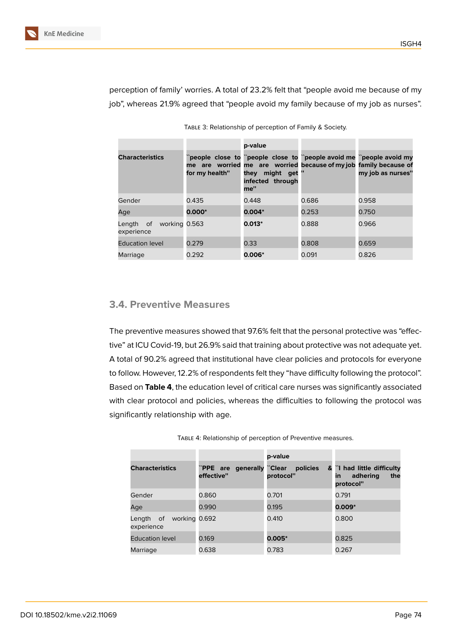

perception of family' worries. A total of 23.2% felt that "people avoid me because of my job", whereas 21.9% agreed that "people avoid my family because of my job as nurses".

| <b>Characteristics</b>                   | for my health" | p-value<br>they might get<br>infected through<br>me" | "people close to "people close to "people avoid me "people avoid my<br>me are worried me are worried because of my job family because of | my job as nurses" |
|------------------------------------------|----------------|------------------------------------------------------|------------------------------------------------------------------------------------------------------------------------------------------|-------------------|
| Gender                                   | 0.435          | 0.448                                                | 0.686                                                                                                                                    | 0.958             |
| Age                                      | $0.000*$       | $0.004*$                                             | 0.253                                                                                                                                    | 0.750             |
| working 0.563<br>Length of<br>experience |                | $0.013*$                                             | 0.888                                                                                                                                    | 0.966             |
| <b>Education level</b>                   | 0.279          | 0.33                                                 | 0.808                                                                                                                                    | 0.659             |
| Marriage                                 | 0.292          | $0.006*$                                             | 0.091                                                                                                                                    | 0.826             |

Table 3: Relationship of perception of Family & Society.

# **3.4. Preventive Measures**

The preventive measures showed that 97.6% felt that the personal protective was "effective" at ICU Covid-19, but 26.9% said that training about protective was not adequate yet. A total of 90.2% agreed that institutional have clear policies and protocols for everyone to follow. However, 12.2% of respondents felt they "have difficulty following the protocol". Based on **Table 4**, the education level of critical care nurses was significantly associated with clear protocol and policies, whereas the difficulties to following the protocol was significantly relationship with age.

|                                          |                                          | p-value               |                                                                    |
|------------------------------------------|------------------------------------------|-----------------------|--------------------------------------------------------------------|
| <b>Characteristics</b>                   | "PPE are generally "Clear"<br>effective" | policies<br>protocol" | & ``l had little difficulty<br>adhering<br>the<br>in.<br>protocol" |
| Gender                                   | 0.860                                    | 0.701                 | 0.791                                                              |
| Age                                      | 0.990                                    | 0.195                 | $0.009*$                                                           |
| working 0.692<br>Length of<br>experience |                                          | 0.410                 | 0.800                                                              |
| <b>Education level</b>                   | 0.169                                    | $0.005*$              | 0.825                                                              |
| Marriage                                 | 0.638                                    | 0.783                 | 0.267                                                              |

Table 4: Relationship of perception of Preventive measures.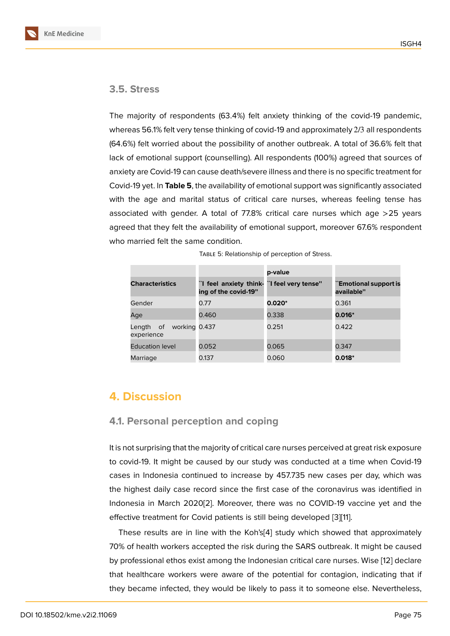## **3.5. Stress**

The majority of respondents (63.4%) felt anxiety thinking of the covid-19 pandemic, whereas 56.1% felt very tense thinking of covid-19 and approximately 2/3 all respondents (64.6%) felt worried about the possibility of another outbreak. A total of 36.6% felt that lack of emotional support (counselling). All respondents (100%) agreed that sources of anxiety are Covid-19 can cause death/severe illness and there is no specific treatment for Covid-19 yet. In **Table 5**, the availability of emotional support was significantly associated with the age and marital status of critical care nurses, whereas feeling tense has associated with gender. A total of 77.8% critical care nurses which age >25 years agreed that they felt the availability of emotional support, moreover 67.6% respondent who married felt the same condition.

|                                          |                                                                    | p-value  |                                     |
|------------------------------------------|--------------------------------------------------------------------|----------|-------------------------------------|
| <b>Characteristics</b>                   | "I feel anxiety think- "I feel very tense"<br>ing of the covid-19" |          | `Emotional support is<br>available" |
| Gender                                   | 0.77                                                               | $0.020*$ | 0.361                               |
| Age                                      | 0.460                                                              | 0.338    | $0.016*$                            |
| working 0.437<br>Length of<br>experience |                                                                    | 0.251    | 0.422                               |
| <b>Education level</b>                   | 0.052                                                              | 0.065    | 0.347                               |
| Marriage                                 | 0.137                                                              | 0.060    | $0.018*$                            |

|  | TABLE 5: Relationship of perception of Stress. |  |  |
|--|------------------------------------------------|--|--|
|  |                                                |  |  |

# **4. Discussion**

#### **4.1. Personal perception and coping**

It is not surprising that the majority of critical care nurses perceived at great risk exposure to covid-19. It might be caused by our study was conducted at a time when Covid-19 cases in Indonesia continued to increase by 457.735 new cases per day, which was the highest daily case record since the first case of the coronavirus was identified in Indonesia in March 2020[2]. Moreover, there was no COVID-19 vaccine yet and the effective treatment for Covid patients is still being developed [3][11].

These results are in line with the Koh's[4] study which showed that approximately 70% of health workers acc[ep](#page-10-0)ted the risk during the SARS outbreak. It might be caused by professional ethos exist among the Indonesian critical care [nu](#page-10-1)[rs](#page-10-9)es. Wise [12] declare that healthcare workers were aware of th[e](#page-10-2) potential for contagion, indicating that if they became infected, they would be likely to pass it to someone else. Nevertheless,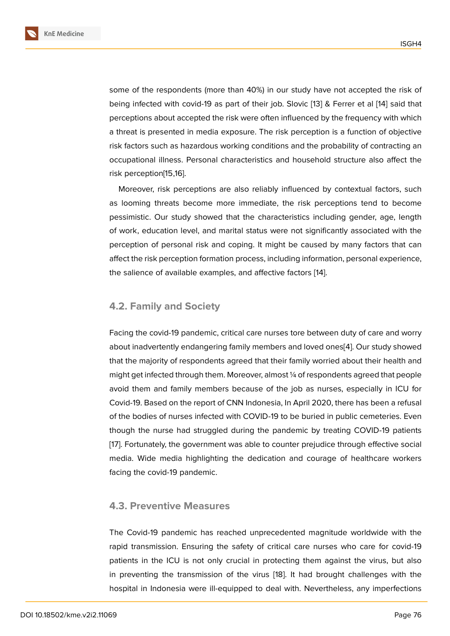some of the respondents (more than 40%) in our study have not accepted the risk of being infected with covid-19 as part of their job. Slovic [13] & Ferrer et al [14] said that perceptions about accepted the risk were often influenced by the frequency with which a threat is presented in media exposure. The risk perception is a function of objective risk factors such as hazardous working conditions and t[he](#page-10-10) probability of c[ontr](#page-10-11)acting an occupational illness. Personal characteristics and household structure also affect the risk perception[15,16].

Moreover, risk perceptions are also reliably influenced by contextual factors, such as looming threats become more immediate, the risk perceptions tend to become pessimistic. Our study showed that the characteristics including gender, age, length of work, education level, and marital status were not significantly associated with the perception of personal risk and coping. It might be caused by many factors that can affect the risk perception formation process, including information, personal experience, the salience of available examples, and affective factors [14].

#### **4.2. Family and Society**

Facing the covid-19 pandemic, critical care nurses tore between duty of care and worry about inadvertently endangering family members and loved ones[4]. Our study showed that the majority of respondents agreed that their family worried about their health and might get infected through them. Moreover, almost ¼ of respondents agreed that people avoid them and family members because of the job as nurses, [e](#page-10-2)specially in ICU for Covid-19. Based on the report of CNN Indonesia, In April 2020, there has been a refusal of the bodies of nurses infected with COVID-19 to be buried in public cemeteries. Even though the nurse had struggled during the pandemic by treating COVID-19 patients [17]. Fortunately, the government was able to counter prejudice through effective social media. Wide media highlighting the dedication and courage of healthcare workers facing the covid-19 pandemic.

#### **4.3. Preventive Measures**

The Covid-19 pandemic has reached unprecedented magnitude worldwide with the rapid transmission. Ensuring the safety of critical care nurses who care for covid-19 patients in the ICU is not only crucial in protecting them against the virus, but also in preventing the transmission of the virus [18]. It had brought challenges with the hospital in Indonesia were ill-equipped to deal with. Nevertheless, any imperfections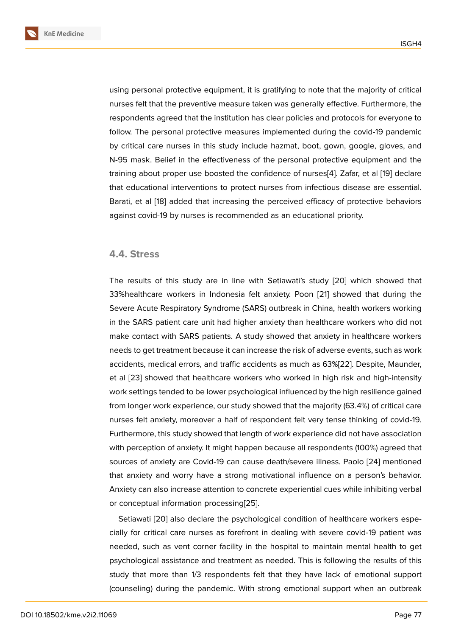using personal protective equipment, it is gratifying to note that the majority of critical nurses felt that the preventive measure taken was generally effective. Furthermore, the respondents agreed that the institution has clear policies and protocols for everyone to follow. The personal protective measures implemented during the covid-19 pandemic by critical care nurses in this study include hazmat, boot, gown, google, gloves, and N-95 mask. Belief in the effectiveness of the personal protective equipment and the training about proper use boosted the confidence of nurses[4]. Zafar, et al [19] declare that educational interventions to protect nurses from infectious disease are essential. Barati, et al [18] added that increasing the perceived efficacy of protective behaviors against covid-19 by nurses is recommended as an education[al](#page-10-2) priority.

#### **4.4. Stress**

The results of this study are in line with Setiawati's study [20] which showed that 33%healthcare workers in Indonesia felt anxiety. Poon [21] showed that during the Severe Acute Respiratory Syndrome (SARS) outbreak in China, health workers working in the SARS patient care unit had higher anxiety than healthc[are](#page-11-0) workers who did not make contact with SARS patients. A study showed that a[nx](#page-11-1)iety in healthcare workers needs to get treatment because it can increase the risk of adverse events, such as work accidents, medical errors, and traffic accidents as much as 63%[22]. Despite, Maunder, et al [23] showed that healthcare workers who worked in high risk and high-intensity work settings tended to be lower psychological influenced by the high resilience gained from longer work experience, our study showed that the majorit[y \(6](#page-11-2)3.4%) of critical care nurse[s fe](#page-11-3)lt anxiety, moreover a half of respondent felt very tense thinking of covid-19. Furthermore, this study showed that length of work experience did not have association with perception of anxiety. It might happen because all respondents (100%) agreed that sources of anxiety are Covid-19 can cause death/severe illness. Paolo [24] mentioned that anxiety and worry have a strong motivational influence on a person's behavior. Anxiety can also increase attention to concrete experiential cues while inhibiting verbal or conceptual information processing[25].

Setiawati [20] also declare the psychological condition of healthcare workers especially for critical care nurses as forefront in dealing with severe covid-19 patient was needed, such as vent corner facility [in](#page-11-4) the hospital to maintain mental health to get psychologic[al a](#page-11-0)ssistance and treatment as needed. This is following the results of this study that more than 1/3 respondents felt that they have lack of emotional support (counseling) during the pandemic. With strong emotional support when an outbreak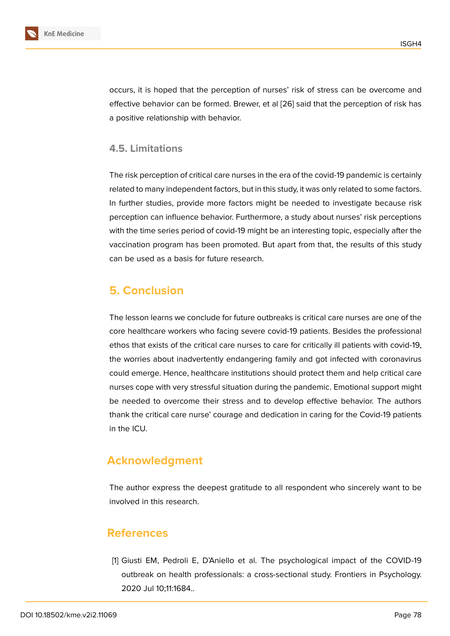

occurs, it is hoped that the perception of nurses' risk of stress can be overcome and effective behavior can be formed. Brewer, et al [26] said that the perception of risk has a positive relationship with behavior.

### **4.5. Limitations**

The risk perception of critical care nurses in the era of the covid-19 pandemic is certainly related to many independent factors, but in this study, it was only related to some factors. In further studies, provide more factors might be needed to investigate because risk perception can influence behavior. Furthermore, a study about nurses' risk perceptions with the time series period of covid-19 might be an interesting topic, especially after the vaccination program has been promoted. But apart from that, the results of this study can be used as a basis for future research.

# **5. Conclusion**

The lesson learns we conclude for future outbreaks is critical care nurses are one of the core healthcare workers who facing severe covid-19 patients. Besides the professional ethos that exists of the critical care nurses to care for critically ill patients with covid-19, the worries about inadvertently endangering family and got infected with coronavirus could emerge. Hence, healthcare institutions should protect them and help critical care nurses cope with very stressful situation during the pandemic. Emotional support might be needed to overcome their stress and to develop effective behavior. The authors thank the critical care nurse' courage and dedication in caring for the Covid-19 patients in the ICU.

# **Acknowledgment**

The author express the deepest gratitude to all respondent who sincerely want to be involved in this research.

# **References**

<span id="page-9-0"></span>[1] Giusti EM, Pedroli E, D'Aniello et al. The psychological impact of the COVID-19 outbreak on health professionals: a cross-sectional study. Frontiers in Psychology. 2020 Jul 10;11:1684..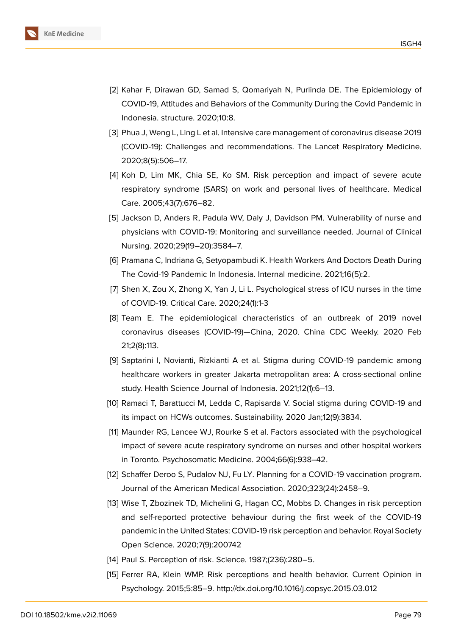

- <span id="page-10-0"></span>[2] Kahar F, Dirawan GD, Samad S, Qomariyah N, Purlinda DE. The Epidemiology of COVID-19, Attitudes and Behaviors of the Community During the Covid Pandemic in Indonesia. structure. 2020;10:8.
- <span id="page-10-1"></span>[3] Phua J, Weng L, Ling L et al. Intensive care management of coronavirus disease 2019 (COVID-19): Challenges and recommendations. The Lancet Respiratory Medicine. 2020;8(5):506–17.
- <span id="page-10-2"></span>[4] Koh D, Lim MK, Chia SE, Ko SM. Risk perception and impact of severe acute respiratory syndrome (SARS) on work and personal lives of healthcare. Medical Care. 2005;43(7):676–82.
- <span id="page-10-3"></span>[5] Jackson D, Anders R, Padula WV, Daly J, Davidson PM. Vulnerability of nurse and physicians with COVID-19: Monitoring and surveillance needed. Journal of Clinical Nursing. 2020;29(19–20):3584–7.
- <span id="page-10-4"></span>[6] Pramana C, Indriana G, Setyopambudi K. Health Workers And Doctors Death During The Covid-19 Pandemic In Indonesia. Internal medicine. 2021;16(5):2.
- <span id="page-10-5"></span>[7] Shen X, Zou X, Zhong X, Yan J, Li L. Psychological stress of ICU nurses in the time of COVID-19. Critical Care. 2020;24(1):1-3
- <span id="page-10-6"></span>[8] Team E. The epidemiological characteristics of an outbreak of 2019 novel coronavirus diseases (COVID-19)—China, 2020. China CDC Weekly. 2020 Feb 21;2(8):113.
- <span id="page-10-7"></span>[9] Saptarini I, Novianti, Rizkianti A et al. Stigma during COVID-19 pandemic among healthcare workers in greater Jakarta metropolitan area: A cross-sectional online study. Health Science Journal of Indonesia. 2021;12(1):6–13.
- <span id="page-10-8"></span>[10] Ramaci T, Barattucci M, Ledda C, Rapisarda V. Social stigma during COVID-19 and its impact on HCWs outcomes. Sustainability. 2020 Jan;12(9):3834.
- <span id="page-10-9"></span>[11] Maunder RG, Lancee WJ, Rourke S et al. Factors associated with the psychological impact of severe acute respiratory syndrome on nurses and other hospital workers in Toronto. Psychosomatic Medicine. 2004;66(6):938–42.
- [12] Schaffer Deroo S, Pudalov NJ, Fu LY. Planning for a COVID-19 vaccination program. Journal of the American Medical Association. 2020;323(24):2458–9.
- <span id="page-10-10"></span>[13] Wise T, Zbozinek TD, Michelini G, Hagan CC, Mobbs D. Changes in risk perception and self-reported protective behaviour during the first week of the COVID-19 pandemic in the United States: COVID-19 risk perception and behavior. Royal Society Open Science. 2020;7(9):200742
- <span id="page-10-11"></span>[14] Paul S. Perception of risk. Science. 1987;(236):280-5.
- [15] Ferrer RA, Klein WMP. Risk perceptions and health behavior. Current Opinion in Psychology. 2015;5:85–9. http://dx.doi.org/10.1016/j.copsyc.2015.03.012